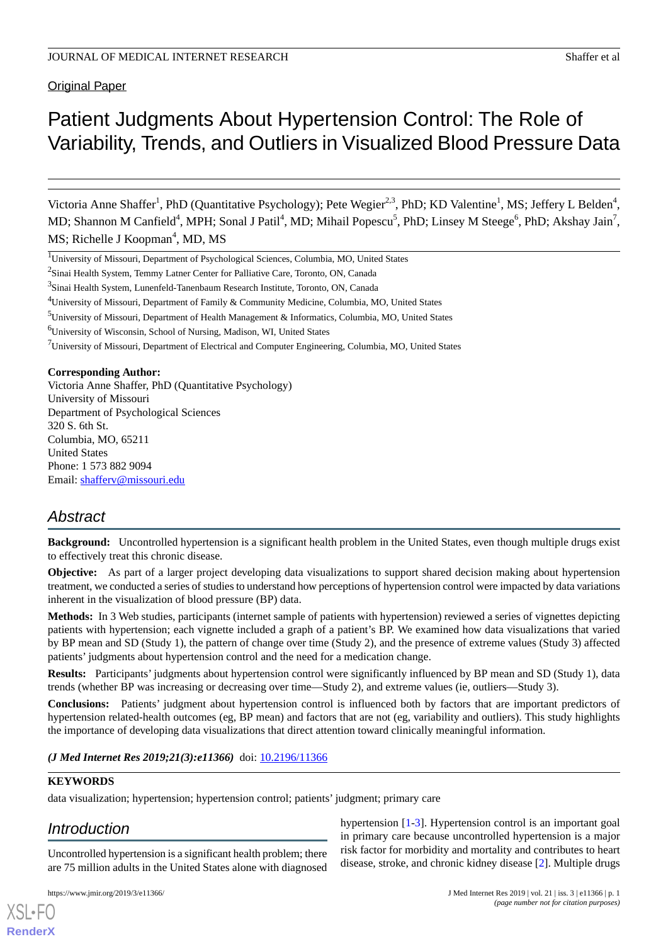**Original Paper** 

# Patient Judgments About Hypertension Control: The Role of Variability, Trends, and Outliers in Visualized Blood Pressure Data

Victoria Anne Shaffer<sup>1</sup>, PhD (Quantitative Psychology); Pete Wegier<sup>2,3</sup>, PhD; KD Valentine<sup>1</sup>, MS; Jeffery L Belden<sup>4</sup>, MD; Shannon M Canfield<sup>4</sup>, MPH; Sonal J Patil<sup>4</sup>, MD; Mihail Popescu<sup>5</sup>, PhD; Linsey M Steege<sup>6</sup>, PhD; Akshay Jain<sup>7</sup>, MS; Richelle J Koopman<sup>4</sup>, MD, MS

<sup>1</sup>University of Missouri, Department of Psychological Sciences, Columbia, MO, United States

<sup>2</sup>Sinai Health System, Temmy Latner Center for Palliative Care, Toronto, ON, Canada

<sup>3</sup>Sinai Health System, Lunenfeld-Tanenbaum Research Institute, Toronto, ON, Canada

<sup>4</sup>University of Missouri, Department of Family & Community Medicine, Columbia, MO, United States

<sup>5</sup>University of Missouri, Department of Health Management & Informatics, Columbia, MO, United States

<sup>6</sup>University of Wisconsin, School of Nursing, Madison, WI, United States

<sup>7</sup>University of Missouri, Department of Electrical and Computer Engineering, Columbia, MO, United States

#### **Corresponding Author:**

Victoria Anne Shaffer, PhD (Quantitative Psychology) University of Missouri Department of Psychological Sciences 320 S. 6th St. Columbia, MO, 65211 United States Phone: 1 573 882 9094 Email: [shafferv@missouri.edu](mailto:shafferv@missouri.edu)

# *Abstract*

**Background:** Uncontrolled hypertension is a significant health problem in the United States, even though multiple drugs exist to effectively treat this chronic disease.

**Objective:** As part of a larger project developing data visualizations to support shared decision making about hypertension treatment, we conducted a series of studies to understand how perceptions of hypertension control were impacted by data variations inherent in the visualization of blood pressure (BP) data.

**Methods:** In 3 Web studies, participants (internet sample of patients with hypertension) reviewed a series of vignettes depicting patients with hypertension; each vignette included a graph of a patient's BP. We examined how data visualizations that varied by BP mean and SD (Study 1), the pattern of change over time (Study 2), and the presence of extreme values (Study 3) affected patients' judgments about hypertension control and the need for a medication change.

**Results:** Participants' judgments about hypertension control were significantly influenced by BP mean and SD (Study 1), data trends (whether BP was increasing or decreasing over time—Study 2), and extreme values (ie, outliers—Study 3).

**Conclusions:** Patients' judgment about hypertension control is influenced both by factors that are important predictors of hypertension related-health outcomes (eg, BP mean) and factors that are not (eg, variability and outliers). This study highlights the importance of developing data visualizations that direct attention toward clinically meaningful information.

*(J Med Internet Res 2019;21(3):e11366)* doi:  $10.2196/11366$ 

#### **KEYWORDS**

[XSL](http://www.w3.org/Style/XSL)•FO **[RenderX](http://www.renderx.com/)**

data visualization; hypertension; hypertension control; patients' judgment; primary care

# *Introduction*

Uncontrolled hypertension is a significant health problem; there are 75 million adults in the United States alone with diagnosed

hypertension [[1](#page-11-0)-[3\]](#page-11-1). Hypertension control is an important goal in primary care because uncontrolled hypertension is a major risk factor for morbidity and mortality and contributes to heart disease, stroke, and chronic kidney disease [\[2](#page-11-2)]. Multiple drugs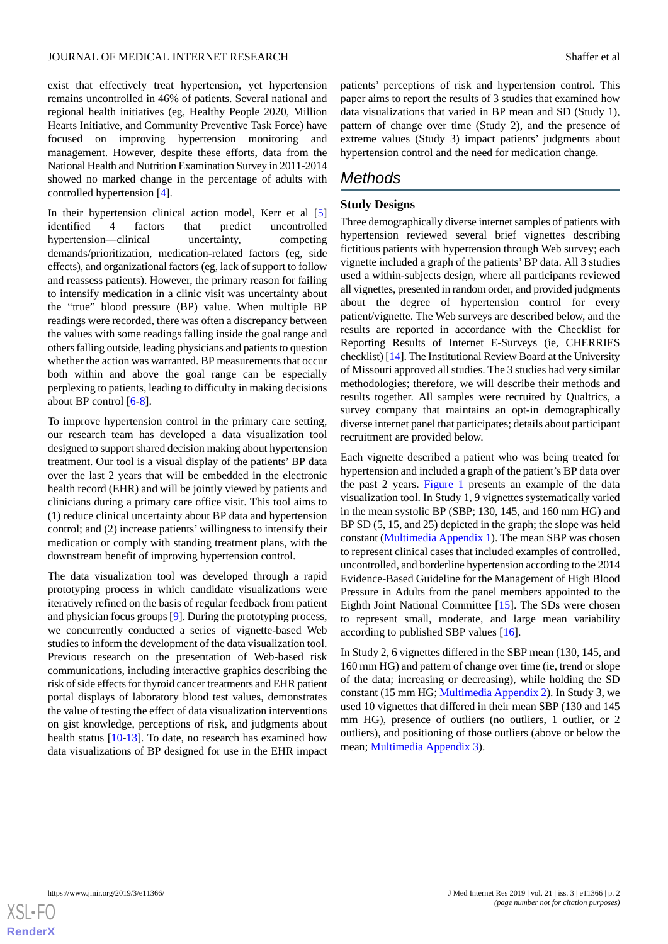exist that effectively treat hypertension, yet hypertension remains uncontrolled in 46% of patients. Several national and regional health initiatives (eg, Healthy People 2020, Million Hearts Initiative, and Community Preventive Task Force) have focused on improving hypertension monitoring and management. However, despite these efforts, data from the National Health and Nutrition Examination Survey in 2011-2014 showed no marked change in the percentage of adults with controlled hypertension [\[4](#page-11-3)].

In their hypertension clinical action model, Kerr et al [\[5](#page-11-4)] identified 4 factors that predict uncontrolled hypertension—clinical uncertainty, competing demands/prioritization, medication-related factors (eg, side effects), and organizational factors (eg, lack of support to follow and reassess patients). However, the primary reason for failing to intensify medication in a clinic visit was uncertainty about the "true" blood pressure (BP) value. When multiple BP readings were recorded, there was often a discrepancy between the values with some readings falling inside the goal range and others falling outside, leading physicians and patients to question whether the action was warranted. BP measurements that occur both within and above the goal range can be especially perplexing to patients, leading to difficulty in making decisions about BP control [\[6](#page-11-5)[-8\]](#page-11-6).

To improve hypertension control in the primary care setting, our research team has developed a data visualization tool designed to support shared decision making about hypertension treatment. Our tool is a visual display of the patients' BP data over the last 2 years that will be embedded in the electronic health record (EHR) and will be jointly viewed by patients and clinicians during a primary care office visit. This tool aims to (1) reduce clinical uncertainty about BP data and hypertension control; and (2) increase patients' willingness to intensify their medication or comply with standing treatment plans, with the downstream benefit of improving hypertension control.

The data visualization tool was developed through a rapid prototyping process in which candidate visualizations were iteratively refined on the basis of regular feedback from patient and physician focus groups [\[9](#page-11-7)]. During the prototyping process, we concurrently conducted a series of vignette-based Web studies to inform the development of the data visualization tool. Previous research on the presentation of Web-based risk communications, including interactive graphics describing the risk of side effects for thyroid cancer treatments and EHR patient portal displays of laboratory blood test values, demonstrates the value of testing the effect of data visualization interventions on gist knowledge, perceptions of risk, and judgments about health status [\[10](#page-11-8)[-13](#page-11-9)]. To date, no research has examined how data visualizations of BP designed for use in the EHR impact

patients' perceptions of risk and hypertension control. This paper aims to report the results of 3 studies that examined how data visualizations that varied in BP mean and SD (Study 1), pattern of change over time (Study 2), and the presence of extreme values (Study 3) impact patients' judgments about hypertension control and the need for medication change.

# *Methods*

### **Study Designs**

Three demographically diverse internet samples of patients with hypertension reviewed several brief vignettes describing fictitious patients with hypertension through Web survey; each vignette included a graph of the patients'BP data. All 3 studies used a within-subjects design, where all participants reviewed all vignettes, presented in random order, and provided judgments about the degree of hypertension control for every patient/vignette. The Web surveys are described below, and the results are reported in accordance with the Checklist for Reporting Results of Internet E-Surveys (ie, CHERRIES checklist) [\[14\]](#page-11-10). The Institutional Review Board at the University of Missouri approved all studies. The 3 studies had very similar methodologies; therefore, we will describe their methods and results together. All samples were recruited by Qualtrics, a survey company that maintains an opt-in demographically diverse internet panel that participates; details about participant recruitment are provided below.

Each vignette described a patient who was being treated for hypertension and included a graph of the patient's BP data over the past 2 years. [Figure 1](#page-2-0) presents an example of the data visualization tool. In Study 1, 9 vignettes systematically varied in the mean systolic BP (SBP; 130, 145, and 160 mm HG) and BP SD (5, 15, and 25) depicted in the graph; the slope was held constant [\(Multimedia Appendix 1\)](#page-10-0). The mean SBP was chosen to represent clinical cases that included examples of controlled, uncontrolled, and borderline hypertension according to the 2014 Evidence-Based Guideline for the Management of High Blood Pressure in Adults from the panel members appointed to the Eighth Joint National Committee [[15\]](#page-11-11). The SDs were chosen to represent small, moderate, and large mean variability according to published SBP values [[16\]](#page-11-12).

In Study 2, 6 vignettes differed in the SBP mean (130, 145, and 160 mm HG) and pattern of change over time (ie, trend or slope of the data; increasing or decreasing), while holding the SD constant (15 mm HG; [Multimedia Appendix 2](#page-10-1)). In Study 3, we used 10 vignettes that differed in their mean SBP (130 and 145 mm HG), presence of outliers (no outliers, 1 outlier, or 2 outliers), and positioning of those outliers (above or below the mean; [Multimedia Appendix 3\)](#page-11-13).

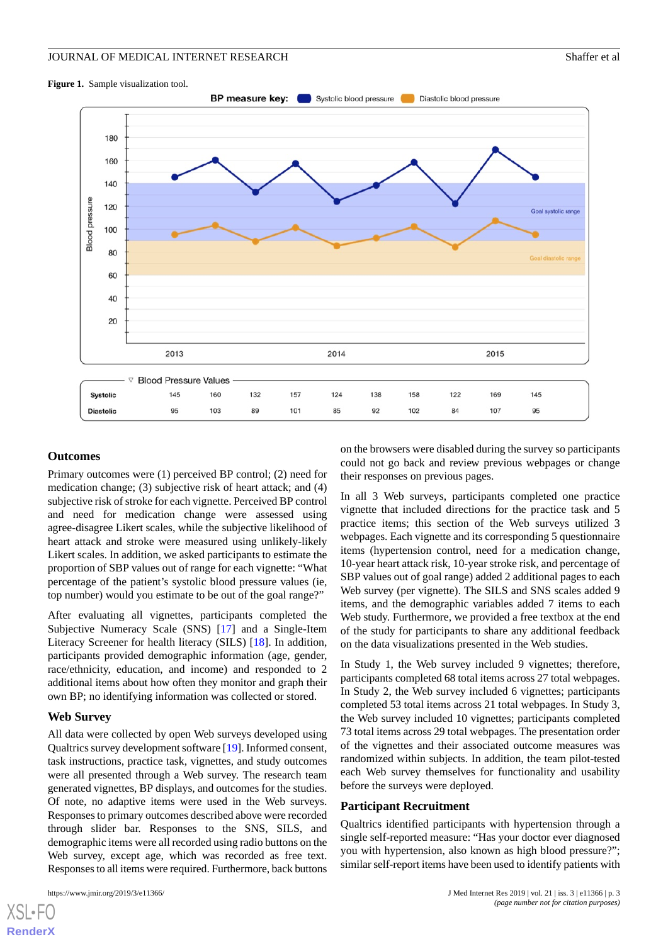#### <span id="page-2-0"></span>**Figure 1.** Sample visualization tool.



#### **Outcomes**

Primary outcomes were (1) perceived BP control; (2) need for medication change; (3) subjective risk of heart attack; and (4) subjective risk of stroke for each vignette. Perceived BP control and need for medication change were assessed using agree-disagree Likert scales, while the subjective likelihood of heart attack and stroke were measured using unlikely-likely Likert scales. In addition, we asked participants to estimate the proportion of SBP values out of range for each vignette: "What percentage of the patient's systolic blood pressure values (ie, top number) would you estimate to be out of the goal range?"

After evaluating all vignettes, participants completed the Subjective Numeracy Scale (SNS) [[17\]](#page-11-14) and a Single-Item Literacy Screener for health literacy (SILS) [[18\]](#page-11-15). In addition, participants provided demographic information (age, gender, race/ethnicity, education, and income) and responded to 2 additional items about how often they monitor and graph their own BP; no identifying information was collected or stored.

#### **Web Survey**

All data were collected by open Web surveys developed using Qualtrics survey development software [[19\]](#page-11-16). Informed consent, task instructions, practice task, vignettes, and study outcomes were all presented through a Web survey. The research team generated vignettes, BP displays, and outcomes for the studies. Of note, no adaptive items were used in the Web surveys. Responses to primary outcomes described above were recorded through slider bar. Responses to the SNS, SILS, and demographic items were all recorded using radio buttons on the Web survey, except age, which was recorded as free text. Responses to all items were required. Furthermore, back buttons

on the browsers were disabled during the survey so participants could not go back and review previous webpages or change their responses on previous pages.

In all 3 Web surveys, participants completed one practice vignette that included directions for the practice task and 5 practice items; this section of the Web surveys utilized 3 webpages. Each vignette and its corresponding 5 questionnaire items (hypertension control, need for a medication change, 10-year heart attack risk, 10-year stroke risk, and percentage of SBP values out of goal range) added 2 additional pages to each Web survey (per vignette). The SILS and SNS scales added 9 items, and the demographic variables added 7 items to each Web study. Furthermore, we provided a free textbox at the end of the study for participants to share any additional feedback on the data visualizations presented in the Web studies.

In Study 1, the Web survey included 9 vignettes; therefore, participants completed 68 total items across 27 total webpages. In Study 2, the Web survey included 6 vignettes; participants completed 53 total items across 21 total webpages. In Study 3, the Web survey included 10 vignettes; participants completed 73 total items across 29 total webpages. The presentation order of the vignettes and their associated outcome measures was randomized within subjects. In addition, the team pilot-tested each Web survey themselves for functionality and usability before the surveys were deployed.

#### **Participant Recruitment**

Qualtrics identified participants with hypertension through a single self-reported measure: "Has your doctor ever diagnosed you with hypertension, also known as high blood pressure?"; similar self-report items have been used to identify patients with

```
XSL•FO
RenderX
```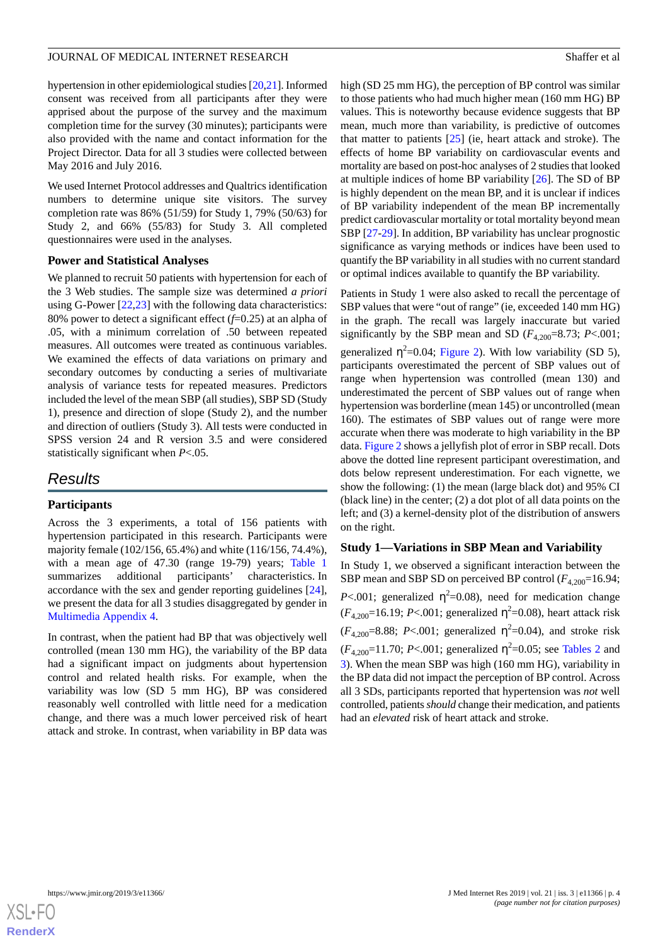hypertension in other epidemiological studies [\[20](#page-12-0)[,21](#page-12-1)]. Informed consent was received from all participants after they were apprised about the purpose of the survey and the maximum completion time for the survey (30 minutes); participants were also provided with the name and contact information for the Project Director. Data for all 3 studies were collected between May 2016 and July 2016.

We used Internet Protocol addresses and Qualtrics identification numbers to determine unique site visitors. The survey completion rate was 86% (51/59) for Study 1, 79% (50/63) for Study 2, and 66% (55/83) for Study 3. All completed questionnaires were used in the analyses.

#### **Power and Statistical Analyses**

We planned to recruit 50 patients with hypertension for each of the 3 Web studies. The sample size was determined *a priori* using G-Power [\[22](#page-12-2),[23\]](#page-12-3) with the following data characteristics: 80% power to detect a significant effect (*f*=0.25) at an alpha of .05, with a minimum correlation of .50 between repeated measures. All outcomes were treated as continuous variables. We examined the effects of data variations on primary and secondary outcomes by conducting a series of multivariate analysis of variance tests for repeated measures. Predictors included the level of the mean SBP (all studies), SBP SD (Study 1), presence and direction of slope (Study 2), and the number and direction of outliers (Study 3). All tests were conducted in SPSS version 24 and R version 3.5 and were considered statistically significant when *P*<.05.

# *Results*

#### **Participants**

Across the 3 experiments, a total of 156 patients with hypertension participated in this research. Participants were majority female (102/156, 65.4%) and white (116/156, 74.4%), with a mean age of 47.30 (range 19-79) years; [Table 1](#page-4-0) summarizes additional participants' characteristics. In accordance with the sex and gender reporting guidelines [[24\]](#page-12-4), we present the data for all 3 studies disaggregated by gender in [Multimedia Appendix 4.](#page-11-17)

In contrast, when the patient had BP that was objectively well controlled (mean 130 mm HG), the variability of the BP data had a significant impact on judgments about hypertension control and related health risks. For example, when the variability was low (SD 5 mm HG), BP was considered reasonably well controlled with little need for a medication change, and there was a much lower perceived risk of heart attack and stroke. In contrast, when variability in BP data was

high (SD 25 mm HG), the perception of BP control was similar to those patients who had much higher mean (160 mm HG) BP values. This is noteworthy because evidence suggests that BP mean, much more than variability, is predictive of outcomes that matter to patients [[25\]](#page-12-5) (ie, heart attack and stroke). The effects of home BP variability on cardiovascular events and mortality are based on post-hoc analyses of 2 studies that looked at multiple indices of home BP variability [[26\]](#page-12-6). The SD of BP is highly dependent on the mean BP, and it is unclear if indices of BP variability independent of the mean BP incrementally predict cardiovascular mortality or total mortality beyond mean SBP [[27](#page-12-7)[-29](#page-12-8)]. In addition, BP variability has unclear prognostic significance as varying methods or indices have been used to quantify the BP variability in all studies with no current standard or optimal indices available to quantify the BP variability.

Patients in Study 1 were also asked to recall the percentage of SBP values that were "out of range" (ie, exceeded 140 mm HG) in the graph. The recall was largely inaccurate but varied significantly by the SBP mean and SD  $(F_{4,200}=8.73; P<.001;$ generalized  $\eta^2$ =0.04; [Figure 2\)](#page-6-0). With low variability (SD 5), participants overestimated the percent of SBP values out of range when hypertension was controlled (mean 130) and underestimated the percent of SBP values out of range when hypertension was borderline (mean 145) or uncontrolled (mean 160). The estimates of SBP values out of range were more accurate when there was moderate to high variability in the BP data. [Figure 2](#page-6-0) shows a jellyfish plot of error in SBP recall. Dots above the dotted line represent participant overestimation, and dots below represent underestimation. For each vignette, we show the following: (1) the mean (large black dot) and 95% CI (black line) in the center; (2) a dot plot of all data points on the left; and (3) a kernel-density plot of the distribution of answers on the right.

#### **Study 1—Variations in SBP Mean and Variability**

In Study 1, we observed a significant interaction between the SBP mean and SBP SD on perceived BP control ( $F_{4,200}$ =16.94; *P*<.001; generalized  $\eta^2$ =0.08), need for medication change  $(F_{4,200} = 16.19; P < .001;$  generalized  $\eta^2 = 0.08$ ), heart attack risk  $(F_{4,200} = 8.88; P < .001;$  generalized  $\eta^2 = 0.04$ ), and stroke risk  $(F_{4,200} = 11.70; P < .001;$  generalized  $\eta^2 = 0.05;$  see [Tables 2](#page-5-0) and [3\)](#page-6-1). When the mean SBP was high (160 mm HG), variability in the BP data did not impact the perception of BP control. Across all 3 SDs, participants reported that hypertension was *not* well controlled, patients *should* change their medication, and patients had an *elevated* risk of heart attack and stroke.

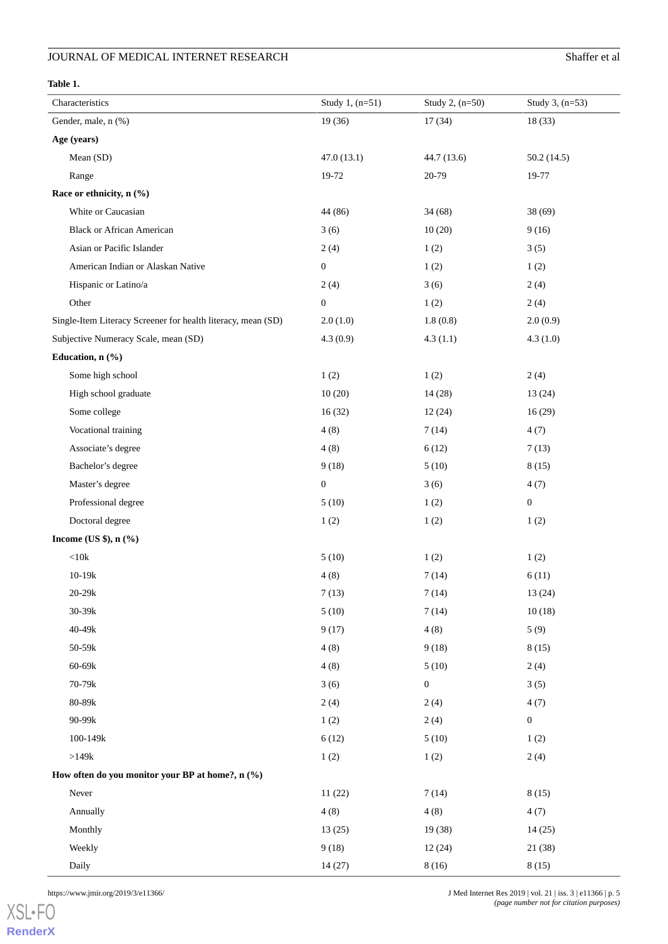#### <span id="page-4-0"></span>**Table 1.**

| Characteristics                                              | Study 1, (n=51)  | Study 2, (n=50)  | Study 3, (n=53)  |
|--------------------------------------------------------------|------------------|------------------|------------------|
| Gender, male, n (%)                                          | 19(36)           | 17(34)           | 18(33)           |
| Age (years)                                                  |                  |                  |                  |
| Mean (SD)                                                    | 47.0(13.1)       | 44.7 (13.6)      | 50.2(14.5)       |
| Range                                                        | 19-72            | 20-79            | 19-77            |
| Race or ethnicity, n (%)                                     |                  |                  |                  |
| White or Caucasian                                           | 44 (86)          | 34(68)           | 38(69)           |
| <b>Black or African American</b>                             | 3(6)             | 10(20)           | 9(16)            |
| Asian or Pacific Islander                                    | 2(4)             | 1(2)             | 3(5)             |
| American Indian or Alaskan Native                            | $\boldsymbol{0}$ | 1(2)             | 1(2)             |
| Hispanic or Latino/a                                         | 2(4)             | 3(6)             | 2(4)             |
| Other                                                        | $\boldsymbol{0}$ | 1(2)             | 2(4)             |
| Single-Item Literacy Screener for health literacy, mean (SD) | 2.0(1.0)         | 1.8(0.8)         | 2.0(0.9)         |
| Subjective Numeracy Scale, mean (SD)                         | 4.3(0.9)         | 4.3(1.1)         | 4.3(1.0)         |
| Education, n (%)                                             |                  |                  |                  |
| Some high school                                             | 1(2)             | 1(2)             | 2(4)             |
| High school graduate                                         | 10(20)           | 14(28)           | 13(24)           |
| Some college                                                 | 16(32)           | 12(24)           | 16(29)           |
| Vocational training                                          | 4(8)             | 7(14)            | 4(7)             |
| Associate's degree                                           | 4(8)             | 6(12)            | 7(13)            |
| Bachelor's degree                                            | 9(18)            | 5(10)            | 8(15)            |
| Master's degree                                              | $\boldsymbol{0}$ | 3(6)             | 4(7)             |
| Professional degree                                          | 5(10)            | 1(2)             | $\boldsymbol{0}$ |
| Doctoral degree                                              | 1(2)             | 1(2)             | 1(2)             |
| Income (US \$), $n$ (%)                                      |                  |                  |                  |
| $<10\mathrm{k}$                                              | 5(10)            | 1(2)             | 1(2)             |
| $10 - 19k$                                                   | 4(8)             | 7(14)            | 6(11)            |
| $20 - 29k$                                                   | 7(13)            | 7(14)            | 13 (24)          |
| $30 - 39k$                                                   | 5(10)            | 7(14)            | 10(18)           |
| 40-49k                                                       | 9(17)            | 4(8)             | 5(9)             |
| 50-59k                                                       | 4(8)             | 9(18)            | 8(15)            |
| 60-69k                                                       | 4(8)             | 5(10)            | 2(4)             |
| 70-79k                                                       | 3(6)             | $\boldsymbol{0}$ | 3(5)             |
| 80-89k                                                       | 2(4)             | 2(4)             | 4(7)             |
| 90-99k                                                       | 1(2)             | 2(4)             | $\boldsymbol{0}$ |
| $100 - 149k$                                                 | 6(12)            | 5(10)            | 1(2)             |
| $>\!\!149k$                                                  | 1(2)             | 1(2)             | 2(4)             |
| How often do you monitor your BP at home?, n (%)             |                  |                  |                  |
| Never                                                        | 11(22)           | 7(14)            | 8(15)            |
| Annually                                                     | 4(8)             | 4(8)             | 4(7)             |
| Monthly                                                      | 13(25)           | 19(38)           | 14(25)           |
| Weekly                                                       | 9(18)            | 12(24)           | 21 (38)          |
| Daily                                                        | 14(27)           | 8(16)            | 8(15)            |

https://www.jmir.org/2019/3/e11366/ J Med Internet Res 2019 | vol. 21 | iss. 3 | e11366 | p. 5 *(page number not for citation purposes)*

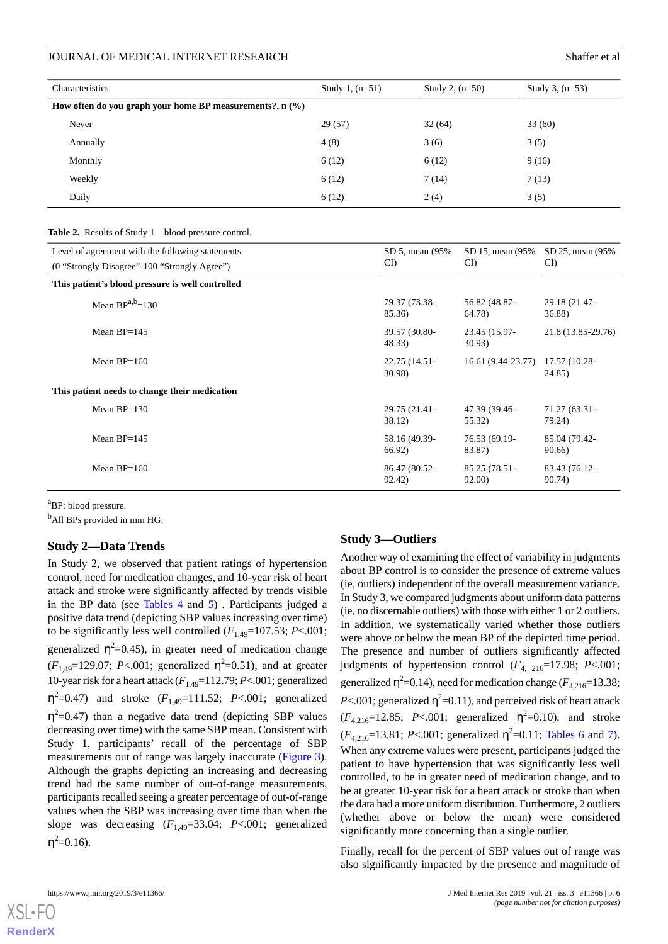| Characteristics                                            | Study 1, $(n=51)$ | Study 2, $(n=50)$ | Study 3, $(n=53)$ |
|------------------------------------------------------------|-------------------|-------------------|-------------------|
| How often do you graph your home BP measurements?, $n$ (%) |                   |                   |                   |
| Never                                                      | 29(57)            | 32(64)            | 33(60)            |
| Annually                                                   | 4(8)              | 3(6)              | 3(5)              |
| Monthly                                                    | 6(12)             | 6(12)             | 9(16)             |
| Weekly                                                     | 6(12)             | 7(14)             | 7(13)             |
| Daily                                                      | 6(12)             | 2(4)              | 3(5)              |

<span id="page-5-0"></span>**Table 2.** Results of Study 1—blood pressure control.

| Level of agreement with the following statements | SD 5, mean (95%)        | SD 15, mean (95%)       | SD 25, mean (95%)       |
|--------------------------------------------------|-------------------------|-------------------------|-------------------------|
| (0 "Strongly Disagree"-100 "Strongly Agree")     | CI                      | CI                      | CI                      |
| This patient's blood pressure is well controlled |                         |                         |                         |
| Mean $BP^{a,b}=130$                              | 79.37 (73.38-           | 56.82 (48.87-           | 29.18 (21.47-           |
|                                                  | 85.36)                  | 64.78)                  | 36.88)                  |
| Mean $BP=145$                                    | 39.57 (30.80-<br>48.33) | 23.45 (15.97-<br>30.93) | 21.8 (13.85-29.76)      |
| Mean $BP=160$                                    | 22.75 (14.51-<br>30.98) | 16.61 (9.44-23.77)      | 17.57 (10.28-<br>24.85) |
| This patient needs to change their medication    |                         |                         |                         |
| Mean $BP=130$                                    | 29.75 (21.41-           | 47.39 (39.46-           | 71.27 (63.31-           |
|                                                  | 38.12)                  | 55.32)                  | 79.24)                  |
| Mean $BP=145$                                    | 58.16 (49.39-           | 76.53 (69.19-           | 85.04 (79.42-           |
|                                                  | 66.92)                  | 83.87)                  | 90.66)                  |
| Mean $BP=160$                                    | 86.47 (80.52-           | 85.25 (78.51-           | 83.43 (76.12-           |
|                                                  | 92.42)                  | 92.00)                  | 90.74)                  |

<sup>a</sup>BP: blood pressure.

<sup>b</sup>All BPs provided in mm HG.

#### **Study 2—Data Trends**

In Study 2, we observed that patient ratings of hypertension control, need for medication changes, and 10-year risk of heart attack and stroke were significantly affected by trends visible in the BP data (see [Tables 4](#page-7-0) and [5\)](#page-7-1) *.* Participants judged a positive data trend (depicting SBP values increasing over time) to be significantly less well controlled  $(F_{1,49}=107.53; P<.001;$ generalized  $\eta^2$ =0.45), in greater need of medication change ( $F_{1,49}$ =129.07; *P*<.001; generalized  $\eta^2$ =0.51), and at greater 10-year risk for a heart attack  $(F<sub>1,49</sub>=112.79; P<.001;$  generalized  $η<sup>2</sup>=0.47$ ) and stroke ( $F<sub>1,49</sub>=111.52$ ;  $P<.001$ ; generalized  $\eta^2$ =0.47) than a negative data trend (depicting SBP values decreasing over time) with the same SBP mean. Consistent with Study 1, participants' recall of the percentage of SBP measurements out of range was largely inaccurate ([Figure 3\)](#page-8-0). Although the graphs depicting an increasing and decreasing trend had the same number of out-of-range measurements, participants recalled seeing a greater percentage of out-of-range values when the SBP was increasing over time than when the slope was decreasing  $(F_{1,49}=33.04; P<.001;$  generalized  $\eta^2 = 0.16$ ).

#### **Study 3—Outliers**

Another way of examining the effect of variability in judgments about BP control is to consider the presence of extreme values (ie, outliers) independent of the overall measurement variance. In Study 3, we compared judgments about uniform data patterns (ie, no discernable outliers) with those with either 1 or 2 outliers. In addition, we systematically varied whether those outliers were above or below the mean BP of the depicted time period. The presence and number of outliers significantly affected judgments of hypertension control  $(F_{4, 216}=17.98; P<.001;$ generalized  $\eta^2$ =0.14), need for medication change ( $F_{4,216}$ =13.38; *P*<.001; generalized  $\eta^2$ =0.11), and perceived risk of heart attack  $(F_{4,216}=12.85; P<.001;$  generalized  $\eta^2=0.10$ ), and stroke  $(F_{4,216}=13.81; P<.001;$  generalized  $\eta^2=0.11;$  [Tables 6](#page-8-1) and [7\)](#page-9-0). When any extreme values were present, participants judged the patient to have hypertension that was significantly less well controlled, to be in greater need of medication change, and to be at greater 10-year risk for a heart attack or stroke than when the data had a more uniform distribution. Furthermore, 2 outliers (whether above or below the mean) were considered significantly more concerning than a single outlier.

Finally, recall for the percent of SBP values out of range was also significantly impacted by the presence and magnitude of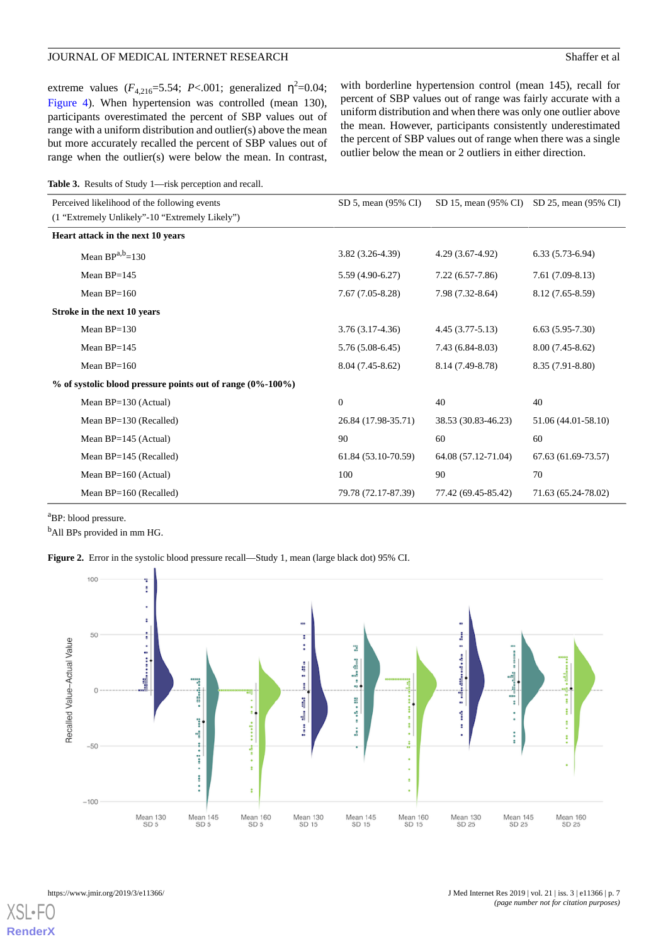extreme values  $(F_{4,216} = 5.54; P < .001;$  generalized  $\eta^2 = 0.04;$ [Figure 4\)](#page-9-1). When hypertension was controlled (mean 130), participants overestimated the percent of SBP values out of range with a uniform distribution and outlier(s) above the mean but more accurately recalled the percent of SBP values out of range when the outlier(s) were below the mean. In contrast,

with borderline hypertension control (mean 145), recall for percent of SBP values out of range was fairly accurate with a uniform distribution and when there was only one outlier above the mean. However, participants consistently underestimated the percent of SBP values out of range when there was a single outlier below the mean or 2 outliers in either direction.

<span id="page-6-1"></span>

| <b>Table 3.</b> Results of Study 1—risk perception and recall. |
|----------------------------------------------------------------|
|----------------------------------------------------------------|

| Perceived likelihood of the following events                  | SD 5, mean (95% CI) | SD 15, mean (95% CI) | SD 25, mean (95% CI) |
|---------------------------------------------------------------|---------------------|----------------------|----------------------|
| (1 "Extremely Unlikely"-10 "Extremely Likely")                |                     |                      |                      |
| Heart attack in the next 10 years                             |                     |                      |                      |
| Mean $BP^{a,b}=130$                                           | $3.82(3.26-4.39)$   | $4.29(3.67-4.92)$    | $6.33(5.73-6.94)$    |
| Mean $BP=145$                                                 | $5.59(4.90-6.27)$   | $7.22(6.57-7.86)$    | $7.61(7.09-8.13)$    |
| Mean $BP=160$                                                 | $7.67(7.05-8.28)$   | $7.98(7.32-8.64)$    | 8.12 (7.65-8.59)     |
| Stroke in the next 10 years                                   |                     |                      |                      |
| Mean $BP=130$                                                 | $3.76(3.17-4.36)$   | $4.45(3.77-5.13)$    | $6.63(5.95-7.30)$    |
| Mean $BP=145$                                                 | $5.76(5.08-6.45)$   | $7.43(6.84 - 8.03)$  | $8.00(7.45-8.62)$    |
| Mean $BP=160$                                                 | $8.04(7.45-8.62)$   | 8.14 (7.49-8.78)     | 8.35 (7.91-8.80)     |
| $\%$ of systolic blood pressure points out of range (0%-100%) |                     |                      |                      |
| Mean $BP=130$ (Actual)                                        | $\overline{0}$      | 40                   | 40                   |
| Mean $BP=130$ (Recalled)                                      | 26.84 (17.98-35.71) | 38.53 (30.83-46.23)  | 51.06 (44.01-58.10)  |
| Mean $BP=145$ (Actual)                                        | 90                  | 60                   | 60                   |
| Mean $BP=145$ (Recalled)                                      | 61.84 (53.10-70.59) | 64.08 (57.12-71.04)  | 67.63 (61.69-73.57)  |
| Mean $BP=160$ (Actual)                                        | 100                 | 90                   | 70                   |
| Mean BP=160 (Recalled)                                        | 79.78 (72.17-87.39) | 77.42 (69.45-85.42)  | 71.63 (65.24-78.02)  |

<span id="page-6-0"></span><sup>a</sup>BP: blood pressure.

<sup>b</sup>All BPs provided in mm HG.

**Figure 2.** Error in the systolic blood pressure recall—Study 1, mean (large black dot) 95% CI.

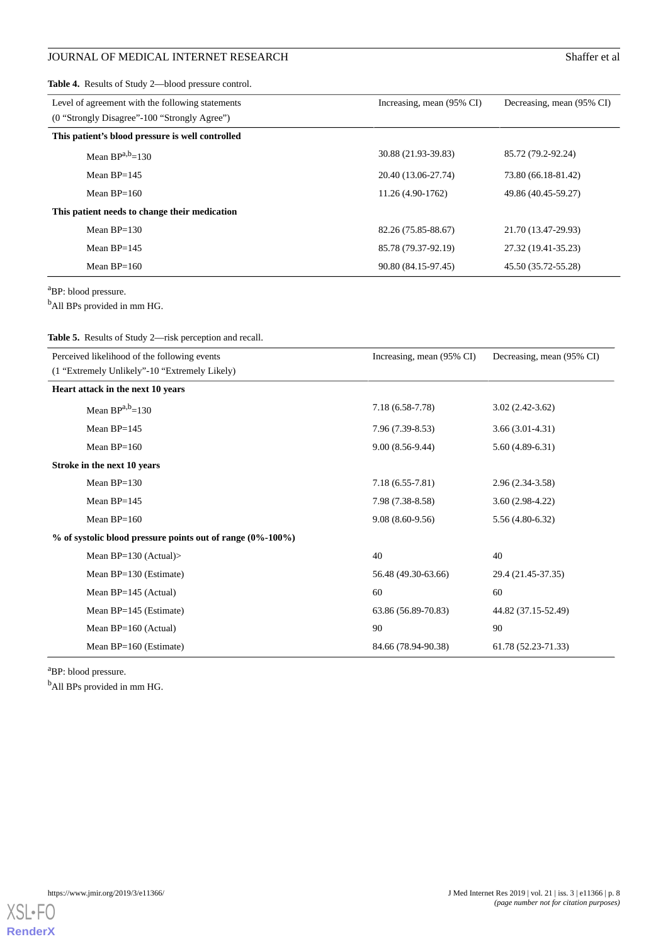<span id="page-7-0"></span>**Table 4.** Results of Study 2—blood pressure control.

| Level of agreement with the following statements | Increasing, mean (95% CI) | Decreasing, mean (95% CI) |
|--------------------------------------------------|---------------------------|---------------------------|
| (0 "Strongly Disagree"-100 "Strongly Agree")     |                           |                           |
| This patient's blood pressure is well controlled |                           |                           |
| Mean $BP^{a,b}=130$                              | 30.88 (21.93-39.83)       | 85.72 (79.2-92.24)        |
| Mean $BP = 145$                                  | 20.40 (13.06-27.74)       | 73.80 (66.18-81.42)       |
| Mean $BP=160$                                    | 11.26 (4.90-1762)         | 49.86 (40.45-59.27)       |
| This patient needs to change their medication    |                           |                           |
| Mean $BP=130$                                    | 82.26 (75.85-88.67)       | 21.70 (13.47-29.93)       |
| Mean $BP=145$                                    | 85.78 (79.37-92.19)       | 27.32 (19.41-35.23)       |
| Mean $BP=160$                                    | 90.80 (84.15-97.45)       | 45.50 (35.72-55.28)       |

<sup>a</sup>BP: blood pressure.

<span id="page-7-1"></span><sup>b</sup>All BPs provided in mm HG.

**Table 5.** Results of Study 2—risk perception and recall.

| Perceived likelihood of the following events                  | Increasing, mean (95% CI) | Decreasing, mean (95% CI) |
|---------------------------------------------------------------|---------------------------|---------------------------|
| (1 "Extremely Unlikely"-10 "Extremely Likely)                 |                           |                           |
| Heart attack in the next 10 years                             |                           |                           |
| Mean $BP^{a,b}=130$                                           | $7.18(6.58-7.78)$         | $3.02(2.42-3.62)$         |
| Mean BP=145                                                   | $7.96(7.39-8.53)$         | $3.66(3.01-4.31)$         |
| Mean $BP=160$                                                 | $9.00(8.56-9.44)$         | $5.60(4.89-6.31)$         |
| Stroke in the next 10 years                                   |                           |                           |
| Mean $BP=130$                                                 | $7.18(6.55-7.81)$         | 2.96 (2.34-3.58)          |
| Mean $BP=145$                                                 | 7.98 (7.38-8.58)          | $3.60(2.98-4.22)$         |
| Mean $BP=160$                                                 | $9.08(8.60-9.56)$         | $5.56(4.80-6.32)$         |
| $\%$ of systolic blood pressure points out of range (0%-100%) |                           |                           |
| Mean $BP=130$ (Actual)>                                       | 40                        | 40                        |
| Mean $BP=130$ (Estimate)                                      | 56.48 (49.30-63.66)       | 29.4 (21.45-37.35)        |
| Mean $BP=145$ (Actual)                                        | 60                        | 60                        |
| Mean BP=145 (Estimate)                                        | 63.86 (56.89-70.83)       | 44.82 (37.15-52.49)       |
| Mean $BP=160$ (Actual)                                        | 90                        | 90                        |
| Mean $BP=160$ (Estimate)                                      | 84.66 (78.94-90.38)       | 61.78 (52.23-71.33)       |

<sup>a</sup>BP: blood pressure.

<sup>b</sup>All BPs provided in mm HG.



https://www.jmir.org/2019/3/e11366/ J Med Internet Res 2019 | vol. 21 | iss. 3 | e11366 | p. 8 *(page number not for citation purposes)*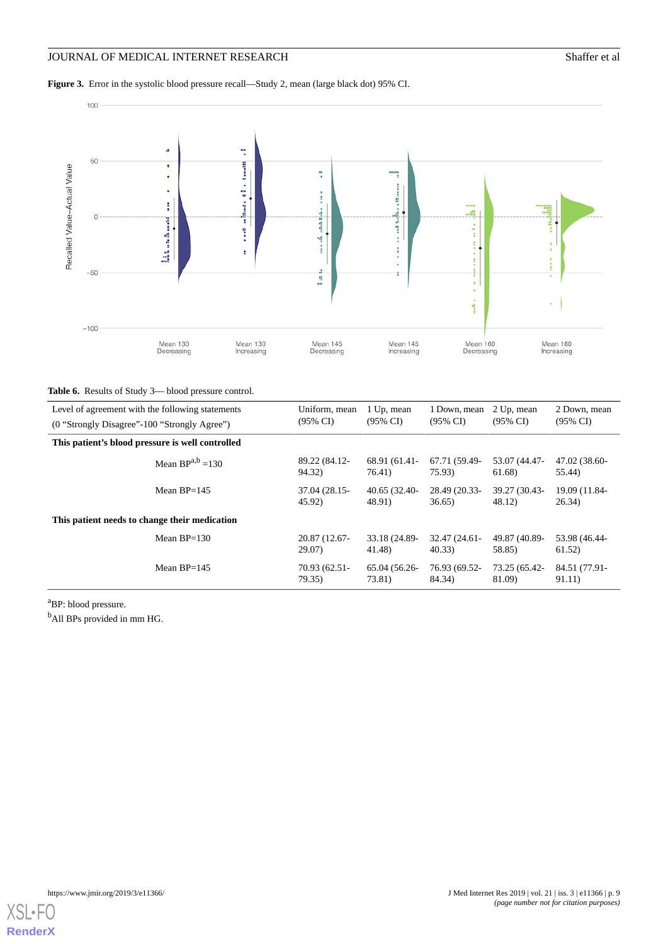<span id="page-8-0"></span>**Figure 3.** Error in the systolic blood pressure recall—Study 2, mean (large black dot) 95% CI.



#### <span id="page-8-1"></span>**Table 6.** Results of Study 3— blood pressure control.

| Level of agreement with the following statements | Uniform, mean       | 1 Up, mean          | 1 Down. mean        | 2 Up, mean          | 2 Down, mean        |
|--------------------------------------------------|---------------------|---------------------|---------------------|---------------------|---------------------|
| (0 "Strongly Disagree"-100 "Strongly Agree")     | $(95\% \text{ CI})$ | $(95\% \text{ CI})$ | $(95\% \text{ CI})$ | $(95\% \text{ C}I)$ | $(95\% \text{ CI})$ |
| This patient's blood pressure is well controlled |                     |                     |                     |                     |                     |
| Mean $BP^{a,b} = 130$                            | 89.22 (84.12-       | 68.91 (61.41-       | 67.71 (59.49-       | 53.07 (44.47-       | 47.02 (38.60-       |
|                                                  | 94.32)              | 76.41)              | 75.93)              | 61.68)              | 55.44)              |
| Mean $BP=145$                                    | 37.04 (28.15-       | 40.65 (32.40-       | 28.49 (20.33-       | 39.27 (30.43-       | 19.09 (11.84-       |
|                                                  | 45.92)              | 48.91)              | 36.65               | 48.12               | 26.34)              |
| This patient needs to change their medication    |                     |                     |                     |                     |                     |
| Mean $BP=130$                                    | 20.87 (12.67-       | 33.18 (24.89-       | 32.47 (24.61-       | 49.87 (40.89-       | 53.98 (46.44-       |
|                                                  | 29.07)              | 41.48)              | 40.33               | 58.85)              | 61.52)              |
| Mean $BP=145$                                    | 70.93 (62.51-       | 65.04 (56.26-       | 76.93 (69.52-       | 73.25 (65.42-       | 84.51 (77.91-       |
|                                                  | 79.35)              | 73.81)              | 84.34)              | 81.09)              | 91.11)              |

<sup>a</sup>BP: blood pressure.

<sup>b</sup>All BPs provided in mm HG.

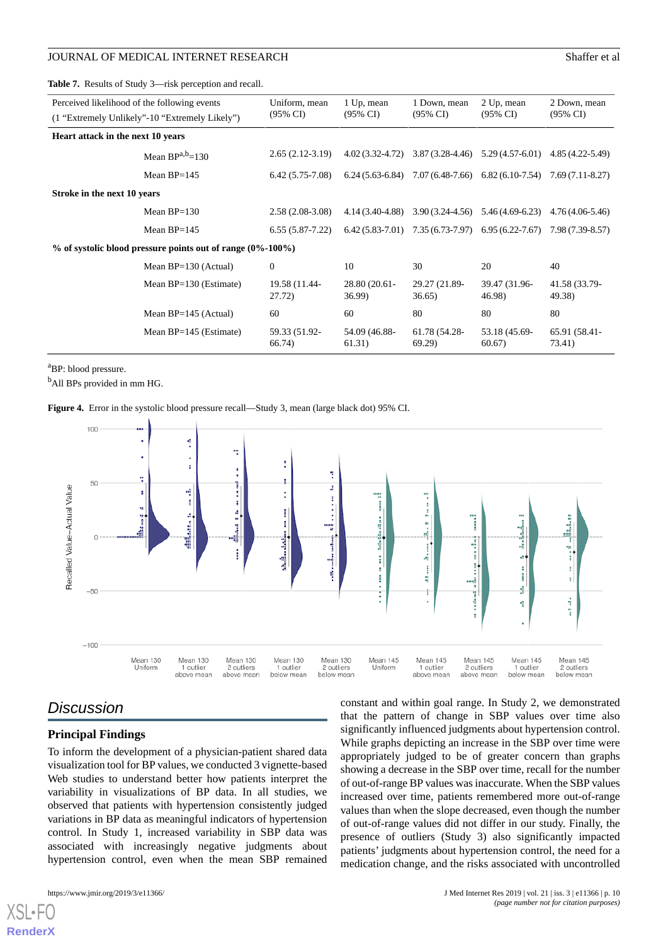<span id="page-9-0"></span>**Table 7.** Results of Study 3—risk perception and recall.

| Perceived likelihood of the following events                  | (1 "Extremely Unlikely"-10 "Extremely Likely") | Uniform, mean<br>$(95\% \text{ CI})$ | 1 Up, mean<br>$(95\% \text{ CI})$ | 1 Down, mean<br>$(95\% \text{ CI})$ | 2 Up, mean<br>$(95\% \text{ CI})$                                       | 2 Down, mean<br>$(95\% \text{ CI})$ |
|---------------------------------------------------------------|------------------------------------------------|--------------------------------------|-----------------------------------|-------------------------------------|-------------------------------------------------------------------------|-------------------------------------|
| Heart attack in the next 10 years                             |                                                |                                      |                                   |                                     |                                                                         |                                     |
|                                                               | Mean $BP^{a,b}=130$                            | $2.65(2.12-3.19)$                    |                                   |                                     | $4.02(3.32-4.72)$ $3.87(3.28-4.46)$ $5.29(4.57-6.01)$ $4.85(4.22-5.49)$ |                                     |
|                                                               | Mean $BP=145$                                  | $6.42(5.75-7.08)$                    |                                   |                                     | $6.24(5.63-6.84)$ $7.07(6.48-7.66)$ $6.82(6.10-7.54)$ $7.69(7.11-8.27)$ |                                     |
| Stroke in the next 10 years                                   |                                                |                                      |                                   |                                     |                                                                         |                                     |
|                                                               | Mean $BP=130$                                  | $2.58(2.08-3.08)$                    | 4.14 (3.40-4.88)                  |                                     | $3.90(3.24-4.56)$ $5.46(4.69-6.23)$                                     | 4.76 (4.06-5.46)                    |
|                                                               | Mean $BP=145$                                  | $6.55(5.87-7.22)$                    |                                   |                                     | $6.42(5.83-7.01)$ $7.35(6.73-7.97)$ $6.95(6.22-7.67)$ $7.98(7.39-8.57)$ |                                     |
| $\%$ of systolic blood pressure points out of range (0%-100%) |                                                |                                      |                                   |                                     |                                                                         |                                     |
|                                                               | Mean $BP=130$ (Actual)                         | $\mathbf{0}$                         | 10                                | 30                                  | 20                                                                      | 40                                  |
|                                                               | Mean $BP=130$ (Estimate)                       | 19.58 (11.44-<br>27.72)              | 28.80 (20.61-<br>36.99)           | 29.27 (21.89-<br>36.65)             | 39.47 (31.96-<br>46.98)                                                 | 41.58 (33.79-<br>49.38)             |
|                                                               | Mean $BP=145$ (Actual)                         | 60                                   | 60                                | 80                                  | 80                                                                      | 80                                  |
|                                                               | Mean $BP=145$ (Estimate)                       | 59.33 (51.92-<br>66.74)              | 54.09 (46.88-<br>61.31)           | 61.78 (54.28-<br>69.29              | 53.18 (45.69-<br>60.67)                                                 | 65.91 (58.41-<br>73.41)             |

<span id="page-9-1"></span><sup>a</sup>BP: blood pressure.

<sup>b</sup>All BPs provided in mm HG.

**Figure 4.** Error in the systolic blood pressure recall—Study 3, mean (large black dot) 95% CI.



# *Discussion*

#### **Principal Findings**

To inform the development of a physician-patient shared data visualization tool for BP values, we conducted 3 vignette-based Web studies to understand better how patients interpret the variability in visualizations of BP data. In all studies, we observed that patients with hypertension consistently judged variations in BP data as meaningful indicators of hypertension control. In Study 1, increased variability in SBP data was associated with increasingly negative judgments about hypertension control, even when the mean SBP remained

[XSL](http://www.w3.org/Style/XSL)•FO **[RenderX](http://www.renderx.com/)**

constant and within goal range. In Study 2, we demonstrated that the pattern of change in SBP values over time also significantly influenced judgments about hypertension control. While graphs depicting an increase in the SBP over time were appropriately judged to be of greater concern than graphs showing a decrease in the SBP over time, recall for the number of out-of-range BP values was inaccurate. When the SBP values increased over time, patients remembered more out-of-range values than when the slope decreased, even though the number of out-of-range values did not differ in our study. Finally, the presence of outliers (Study 3) also significantly impacted patients' judgments about hypertension control, the need for a medication change, and the risks associated with uncontrolled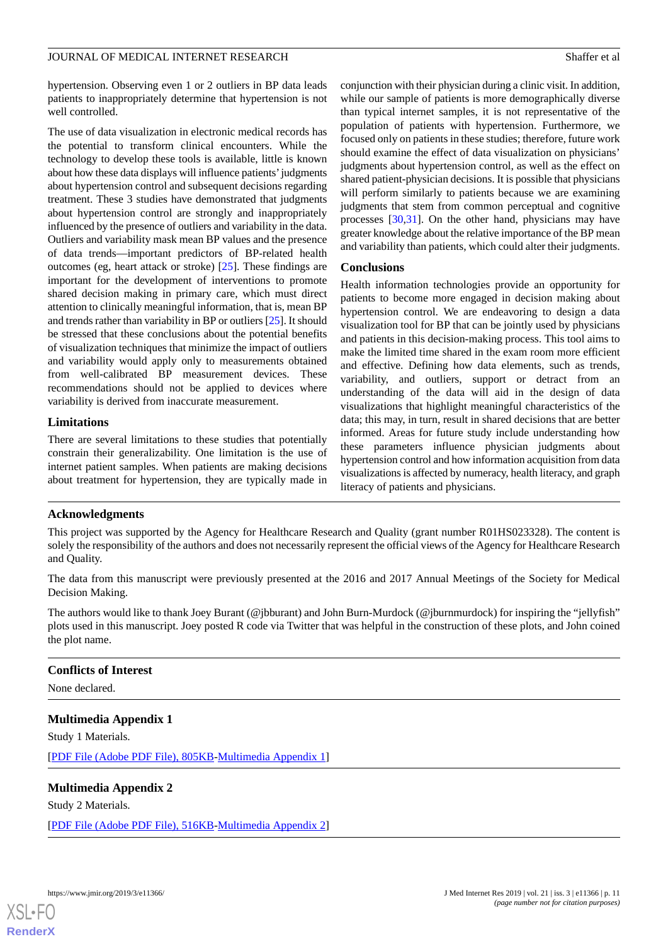hypertension. Observing even 1 or 2 outliers in BP data leads patients to inappropriately determine that hypertension is not well controlled.

The use of data visualization in electronic medical records has the potential to transform clinical encounters. While the technology to develop these tools is available, little is known about how these data displays will influence patients'judgments about hypertension control and subsequent decisions regarding treatment. These 3 studies have demonstrated that judgments about hypertension control are strongly and inappropriately influenced by the presence of outliers and variability in the data. Outliers and variability mask mean BP values and the presence of data trends—important predictors of BP-related health outcomes (eg, heart attack or stroke) [[25\]](#page-12-5). These findings are important for the development of interventions to promote shared decision making in primary care, which must direct attention to clinically meaningful information, that is, mean BP and trends rather than variability in BP or outliers [[25\]](#page-12-5). It should be stressed that these conclusions about the potential benefits of visualization techniques that minimize the impact of outliers and variability would apply only to measurements obtained from well-calibrated BP measurement devices. These recommendations should not be applied to devices where variability is derived from inaccurate measurement.

#### **Limitations**

There are several limitations to these studies that potentially constrain their generalizability. One limitation is the use of internet patient samples. When patients are making decisions about treatment for hypertension, they are typically made in

conjunction with their physician during a clinic visit. In addition, while our sample of patients is more demographically diverse than typical internet samples, it is not representative of the population of patients with hypertension. Furthermore, we focused only on patients in these studies; therefore, future work should examine the effect of data visualization on physicians' judgments about hypertension control, as well as the effect on shared patient-physician decisions. It is possible that physicians will perform similarly to patients because we are examining judgments that stem from common perceptual and cognitive processes [[30,](#page-12-9)[31](#page-12-10)]. On the other hand, physicians may have greater knowledge about the relative importance of the BP mean and variability than patients, which could alter their judgments.

#### **Conclusions**

Health information technologies provide an opportunity for patients to become more engaged in decision making about hypertension control. We are endeavoring to design a data visualization tool for BP that can be jointly used by physicians and patients in this decision-making process. This tool aims to make the limited time shared in the exam room more efficient and effective. Defining how data elements, such as trends, variability, and outliers, support or detract from an understanding of the data will aid in the design of data visualizations that highlight meaningful characteristics of the data; this may, in turn, result in shared decisions that are better informed. Areas for future study include understanding how these parameters influence physician judgments about hypertension control and how information acquisition from data visualizations is affected by numeracy, health literacy, and graph literacy of patients and physicians.

#### **Acknowledgments**

This project was supported by the Agency for Healthcare Research and Quality (grant number R01HS023328). The content is solely the responsibility of the authors and does not necessarily represent the official views of the Agency for Healthcare Research and Quality.

The data from this manuscript were previously presented at the 2016 and 2017 Annual Meetings of the Society for Medical Decision Making.

The authors would like to thank Joey Burant (@jbburant) and John Burn-Murdock (@jburnmurdock) for inspiring the "jellyfish" plots used in this manuscript. Joey posted R code via Twitter that was helpful in the construction of these plots, and John coined the plot name.

#### <span id="page-10-0"></span>**Conflicts of Interest**

None declared.

#### <span id="page-10-1"></span>**Multimedia Appendix 1**

Study 1 Materials.

[[PDF File \(Adobe PDF File\), 805KB-Multimedia Appendix 1](https://jmir.org/api/download?alt_name=jmir_v21i3e11366_app1.pdf&filename=ed445cc680fb78ac5f02fd9733571974.pdf)]

#### **Multimedia Appendix 2**

Study 2 Materials.

[[PDF File \(Adobe PDF File\), 516KB-Multimedia Appendix 2](https://jmir.org/api/download?alt_name=jmir_v21i3e11366_app2.pdf&filename=db33c5c6a0c5399ca8f8a0dadd7acb32.pdf)]

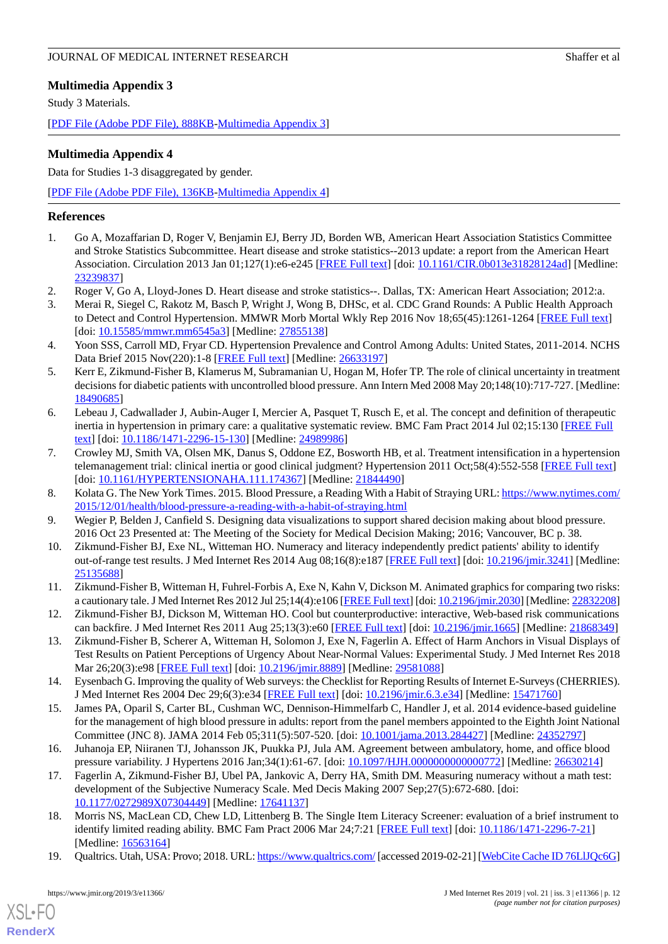# <span id="page-11-13"></span>**Multimedia Appendix 3**

Study 3 Materials.

[[PDF File \(Adobe PDF File\), 888KB-Multimedia Appendix 3](https://jmir.org/api/download?alt_name=jmir_v21i3e11366_app3.pdf&filename=1bcfdd467051c8c0eb44732286149ff8.pdf)]

#### <span id="page-11-17"></span>**Multimedia Appendix 4**

Data for Studies 1-3 disaggregated by gender.

[[PDF File \(Adobe PDF File\), 136KB-Multimedia Appendix 4](https://jmir.org/api/download?alt_name=jmir_v21i3e11366_app4.pdf&filename=b934833a70f2ea64dc27aeca17472859.pdf)]

#### <span id="page-11-0"></span>**References**

- <span id="page-11-2"></span>1. Go A, Mozaffarian D, Roger V, Benjamin EJ, Berry JD, Borden WB, American Heart Association Statistics Committee and Stroke Statistics Subcommittee. Heart disease and stroke statistics--2013 update: a report from the American Heart Association. Circulation 2013 Jan 01;127(1):e6-e245 [[FREE Full text](http://europepmc.org/abstract/MED/23239837)] [doi: [10.1161/CIR.0b013e31828124ad\]](http://dx.doi.org/10.1161/CIR.0b013e31828124ad) [Medline: [23239837](http://www.ncbi.nlm.nih.gov/entrez/query.fcgi?cmd=Retrieve&db=PubMed&list_uids=23239837&dopt=Abstract)]
- <span id="page-11-1"></span>2. Roger V, Go A, Lloyd-Jones D. Heart disease and stroke statistics--. Dallas, TX: American Heart Association; 2012:a.
- <span id="page-11-3"></span>3. Merai R, Siegel C, Rakotz M, Basch P, Wright J, Wong B, DHSc, et al. CDC Grand Rounds: A Public Health Approach to Detect and Control Hypertension. MMWR Morb Mortal Wkly Rep 2016 Nov 18;65(45):1261-1264 [[FREE Full text](http://paperpile.com/b/vf5PfU/cZRV)] [doi: [10.15585/mmwr.mm6545a3](http://dx.doi.org/10.15585/mmwr.mm6545a3)] [Medline: [27855138](http://www.ncbi.nlm.nih.gov/entrez/query.fcgi?cmd=Retrieve&db=PubMed&list_uids=27855138&dopt=Abstract)]
- <span id="page-11-4"></span>4. Yoon SSS, Carroll MD, Fryar CD. Hypertension Prevalence and Control Among Adults: United States, 2011-2014. NCHS Data Brief 2015 Nov(220):1-8 [\[FREE Full text](http://www.cdc.gov/nchs/data/databriefs/db220.pdf)] [Medline: [26633197](http://www.ncbi.nlm.nih.gov/entrez/query.fcgi?cmd=Retrieve&db=PubMed&list_uids=26633197&dopt=Abstract)]
- <span id="page-11-5"></span>5. Kerr E, Zikmund-Fisher B, Klamerus M, Subramanian U, Hogan M, Hofer TP. The role of clinical uncertainty in treatment decisions for diabetic patients with uncontrolled blood pressure. Ann Intern Med 2008 May 20;148(10):717-727. [Medline: [18490685](http://www.ncbi.nlm.nih.gov/entrez/query.fcgi?cmd=Retrieve&db=PubMed&list_uids=18490685&dopt=Abstract)]
- 6. Lebeau J, Cadwallader J, Aubin-Auger I, Mercier A, Pasquet T, Rusch E, et al. The concept and definition of therapeutic inertia in hypertension in primary care: a qualitative systematic review. BMC Fam Pract 2014 Jul 02;15:130 [\[FREE Full](https://bmcfampract.biomedcentral.com/articles/10.1186/1471-2296-15-130) [text](https://bmcfampract.biomedcentral.com/articles/10.1186/1471-2296-15-130)] [doi: [10.1186/1471-2296-15-130\]](http://dx.doi.org/10.1186/1471-2296-15-130) [Medline: [24989986\]](http://www.ncbi.nlm.nih.gov/entrez/query.fcgi?cmd=Retrieve&db=PubMed&list_uids=24989986&dopt=Abstract)
- <span id="page-11-7"></span><span id="page-11-6"></span>7. Crowley MJ, Smith VA, Olsen MK, Danus S, Oddone EZ, Bosworth HB, et al. Treatment intensification in a hypertension telemanagement trial: clinical inertia or good clinical judgment? Hypertension 2011 Oct;58(4):552-558 [[FREE Full text](http://hyper.ahajournals.org/cgi/pmidlookup?view=long&pmid=21844490)] [doi: [10.1161/HYPERTENSIONAHA.111.174367\]](http://dx.doi.org/10.1161/HYPERTENSIONAHA.111.174367) [Medline: [21844490](http://www.ncbi.nlm.nih.gov/entrez/query.fcgi?cmd=Retrieve&db=PubMed&list_uids=21844490&dopt=Abstract)]
- <span id="page-11-8"></span>8. Kolata G. The New York Times. 2015. Blood Pressure, a Reading With a Habit of Straying URL: [https://www.nytimes.com/](https://www.nytimes.com/2015/12/01/health/blood-pressure-a-reading-with-a-habit-of-straying.html) [2015/12/01/health/blood-pressure-a-reading-with-a-habit-of-straying.html](https://www.nytimes.com/2015/12/01/health/blood-pressure-a-reading-with-a-habit-of-straying.html)
- 9. Wegier P, Belden J, Canfield S. Designing data visualizations to support shared decision making about blood pressure. 2016 Oct 23 Presented at: The Meeting of the Society for Medical Decision Making; 2016; Vancouver, BC p. 38.
- 10. Zikmund-Fisher BJ, Exe NL, Witteman HO. Numeracy and literacy independently predict patients' ability to identify out-of-range test results. J Med Internet Res 2014 Aug 08;16(8):e187 [\[FREE Full text](http://www.jmir.org/2014/8/e187/)] [doi: [10.2196/jmir.3241\]](http://dx.doi.org/10.2196/jmir.3241) [Medline: [25135688](http://www.ncbi.nlm.nih.gov/entrez/query.fcgi?cmd=Retrieve&db=PubMed&list_uids=25135688&dopt=Abstract)]
- <span id="page-11-9"></span>11. Zikmund-Fisher B, Witteman H, Fuhrel-Forbis A, Exe N, Kahn V, Dickson M. Animated graphics for comparing two risks: a cautionary tale. J Med Internet Res 2012 Jul 25;14(4):e106 [\[FREE Full text](http://www.jmir.org/2012/4/e106/)] [doi: [10.2196/jmir.2030\]](http://dx.doi.org/10.2196/jmir.2030) [Medline: [22832208\]](http://www.ncbi.nlm.nih.gov/entrez/query.fcgi?cmd=Retrieve&db=PubMed&list_uids=22832208&dopt=Abstract)
- <span id="page-11-10"></span>12. Zikmund-Fisher BJ, Dickson M, Witteman HO. Cool but counterproductive: interactive, Web-based risk communications can backfire. J Med Internet Res 2011 Aug 25;13(3):e60 [\[FREE Full text\]](http://www.jmir.org/2011/3/e60/) [doi: [10.2196/jmir.1665](http://dx.doi.org/10.2196/jmir.1665)] [Medline: [21868349\]](http://www.ncbi.nlm.nih.gov/entrez/query.fcgi?cmd=Retrieve&db=PubMed&list_uids=21868349&dopt=Abstract)
- <span id="page-11-11"></span>13. Zikmund-Fisher B, Scherer A, Witteman H, Solomon J, Exe N, Fagerlin A. Effect of Harm Anchors in Visual Displays of Test Results on Patient Perceptions of Urgency About Near-Normal Values: Experimental Study. J Med Internet Res 2018 Mar 26;20(3):e98 [\[FREE Full text\]](http://www.jmir.org/2018/3/e98/) [doi: [10.2196/jmir.8889\]](http://dx.doi.org/10.2196/jmir.8889) [Medline: [29581088](http://www.ncbi.nlm.nih.gov/entrez/query.fcgi?cmd=Retrieve&db=PubMed&list_uids=29581088&dopt=Abstract)]
- <span id="page-11-12"></span>14. Eysenbach G. Improving the quality of Web surveys: the Checklist for Reporting Results of Internet E-Surveys (CHERRIES). J Med Internet Res 2004 Dec 29;6(3):e34 [\[FREE Full text\]](http://www.jmir.org/2004/3/e34/) [doi: [10.2196/jmir.6.3.e34](http://dx.doi.org/10.2196/jmir.6.3.e34)] [Medline: [15471760](http://www.ncbi.nlm.nih.gov/entrez/query.fcgi?cmd=Retrieve&db=PubMed&list_uids=15471760&dopt=Abstract)]
- <span id="page-11-14"></span>15. James PA, Oparil S, Carter BL, Cushman WC, Dennison-Himmelfarb C, Handler J, et al. 2014 evidence-based guideline for the management of high blood pressure in adults: report from the panel members appointed to the Eighth Joint National Committee (JNC 8). JAMA 2014 Feb 05;311(5):507-520. [doi: [10.1001/jama.2013.284427](http://dx.doi.org/10.1001/jama.2013.284427)] [Medline: [24352797\]](http://www.ncbi.nlm.nih.gov/entrez/query.fcgi?cmd=Retrieve&db=PubMed&list_uids=24352797&dopt=Abstract)
- <span id="page-11-15"></span>16. Juhanoja EP, Niiranen TJ, Johansson JK, Puukka PJ, Jula AM. Agreement between ambulatory, home, and office blood pressure variability. J Hypertens 2016 Jan;34(1):61-67. [doi: [10.1097/HJH.0000000000000772](http://dx.doi.org/10.1097/HJH.0000000000000772)] [Medline: [26630214](http://www.ncbi.nlm.nih.gov/entrez/query.fcgi?cmd=Retrieve&db=PubMed&list_uids=26630214&dopt=Abstract)]
- <span id="page-11-16"></span>17. Fagerlin A, Zikmund-Fisher BJ, Ubel PA, Jankovic A, Derry HA, Smith DM. Measuring numeracy without a math test: development of the Subjective Numeracy Scale. Med Decis Making 2007 Sep;27(5):672-680. [doi: [10.1177/0272989X07304449](http://dx.doi.org/10.1177/0272989X07304449)] [Medline: [17641137\]](http://www.ncbi.nlm.nih.gov/entrez/query.fcgi?cmd=Retrieve&db=PubMed&list_uids=17641137&dopt=Abstract)
- 18. Morris NS, MacLean CD, Chew LD, Littenberg B. The Single Item Literacy Screener: evaluation of a brief instrument to identify limited reading ability. BMC Fam Pract 2006 Mar 24;7:21 [\[FREE Full text\]](https://bmcfampract.biomedcentral.com/articles/10.1186/1471-2296-7-21) [doi: [10.1186/1471-2296-7-21](http://dx.doi.org/10.1186/1471-2296-7-21)] [Medline: [16563164](http://www.ncbi.nlm.nih.gov/entrez/query.fcgi?cmd=Retrieve&db=PubMed&list_uids=16563164&dopt=Abstract)]
- 19. Qualtrics. Utah, USA: Provo; 2018. URL:<https://www.qualtrics.com/> [accessed 2019-02-21] [[WebCite Cache ID 76LlJQc6G](http://www.webcitation.org/

                             76LlJQc6G)]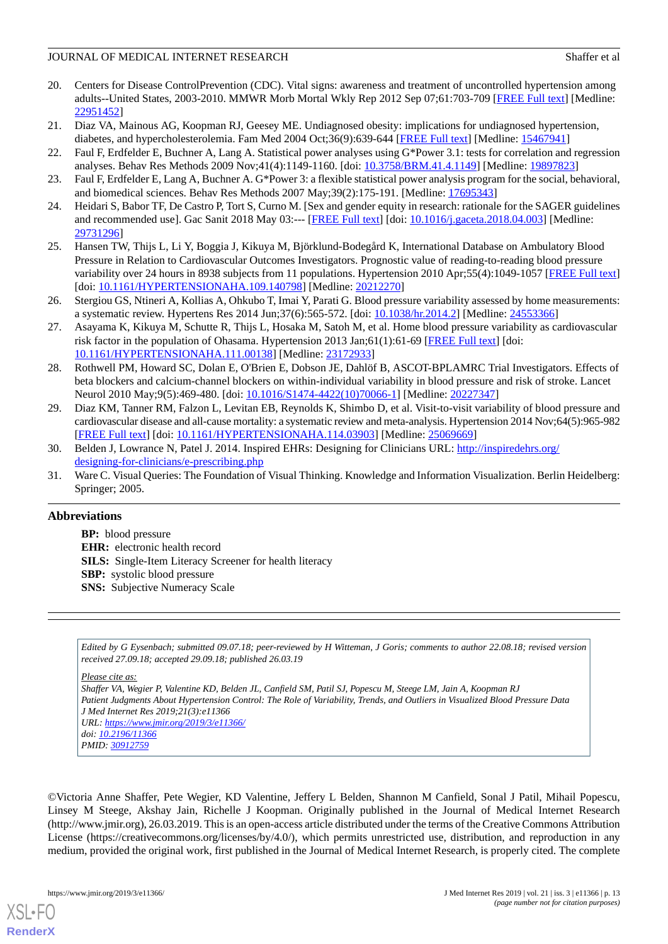- <span id="page-12-0"></span>20. Centers for Disease ControlPrevention (CDC). Vital signs: awareness and treatment of uncontrolled hypertension among adults--United States, 2003-2010. MMWR Morb Mortal Wkly Rep 2012 Sep 07;61:703-709 [[FREE Full text](https://www.cdc.gov/mmwr/preview/mmwrhtml/mm6135a3.htm)] [Medline: [22951452](http://www.ncbi.nlm.nih.gov/entrez/query.fcgi?cmd=Retrieve&db=PubMed&list_uids=22951452&dopt=Abstract)]
- <span id="page-12-2"></span><span id="page-12-1"></span>21. Diaz VA, Mainous AG, Koopman RJ, Geesey ME. Undiagnosed obesity: implications for undiagnosed hypertension, diabetes, and hypercholesterolemia. Fam Med 2004 Oct;36(9):639-644 [\[FREE Full text\]](http://www.stfm.org/fmhub/fm2004/October/Vanessa639.pdf) [Medline: [15467941\]](http://www.ncbi.nlm.nih.gov/entrez/query.fcgi?cmd=Retrieve&db=PubMed&list_uids=15467941&dopt=Abstract)
- <span id="page-12-3"></span>22. Faul F, Erdfelder E, Buchner A, Lang A. Statistical power analyses using G\*Power 3.1: tests for correlation and regression analyses. Behav Res Methods 2009 Nov;41(4):1149-1160. [doi: [10.3758/BRM.41.4.1149\]](http://dx.doi.org/10.3758/BRM.41.4.1149) [Medline: [19897823](http://www.ncbi.nlm.nih.gov/entrez/query.fcgi?cmd=Retrieve&db=PubMed&list_uids=19897823&dopt=Abstract)]
- <span id="page-12-4"></span>23. Faul F, Erdfelder E, Lang A, Buchner A. G\*Power 3: a flexible statistical power analysis program for the social, behavioral, and biomedical sciences. Behav Res Methods 2007 May;39(2):175-191. [Medline: [17695343\]](http://www.ncbi.nlm.nih.gov/entrez/query.fcgi?cmd=Retrieve&db=PubMed&list_uids=17695343&dopt=Abstract)
- <span id="page-12-5"></span>24. Heidari S, Babor TF, De Castro P, Tort S, Curno M. [Sex and gender equity in research: rationale for the SAGER guidelines and recommended use]. Gac Sanit 2018 May 03:--- [[FREE Full text](http://www.elsevier.es/en/linksolver/ft/pii/S0213-9111(18)30074-8)] [doi: [10.1016/j.gaceta.2018.04.003](http://dx.doi.org/10.1016/j.gaceta.2018.04.003)] [Medline: [29731296](http://www.ncbi.nlm.nih.gov/entrez/query.fcgi?cmd=Retrieve&db=PubMed&list_uids=29731296&dopt=Abstract)]
- <span id="page-12-6"></span>25. Hansen TW, Thijs L, Li Y, Boggia J, Kikuya M, Björklund-Bodegård K, International Database on Ambulatory Blood Pressure in Relation to Cardiovascular Outcomes Investigators. Prognostic value of reading-to-reading blood pressure variability over 24 hours in 8938 subjects from 11 populations. Hypertension 2010 Apr;55(4):1049-1057 [\[FREE Full text](http://hyper.ahajournals.org/cgi/pmidlookup?view=long&pmid=20212270)] [doi: [10.1161/HYPERTENSIONAHA.109.140798\]](http://dx.doi.org/10.1161/HYPERTENSIONAHA.109.140798) [Medline: [20212270](http://www.ncbi.nlm.nih.gov/entrez/query.fcgi?cmd=Retrieve&db=PubMed&list_uids=20212270&dopt=Abstract)]
- <span id="page-12-7"></span>26. Stergiou GS, Ntineri A, Kollias A, Ohkubo T, Imai Y, Parati G. Blood pressure variability assessed by home measurements: a systematic review. Hypertens Res 2014 Jun;37(6):565-572. [doi: [10.1038/hr.2014.2\]](http://dx.doi.org/10.1038/hr.2014.2) [Medline: [24553366](http://www.ncbi.nlm.nih.gov/entrez/query.fcgi?cmd=Retrieve&db=PubMed&list_uids=24553366&dopt=Abstract)]
- 27. Asayama K, Kikuya M, Schutte R, Thijs L, Hosaka M, Satoh M, et al. Home blood pressure variability as cardiovascular risk factor in the population of Ohasama. Hypertension 2013 Jan;61(1):61-69 [[FREE Full text](http://hyper.ahajournals.org/cgi/pmidlookup?view=long&pmid=23172933)] [doi: [10.1161/HYPERTENSIONAHA.111.00138](http://dx.doi.org/10.1161/HYPERTENSIONAHA.111.00138)] [Medline: [23172933\]](http://www.ncbi.nlm.nih.gov/entrez/query.fcgi?cmd=Retrieve&db=PubMed&list_uids=23172933&dopt=Abstract)
- <span id="page-12-8"></span>28. Rothwell PM, Howard SC, Dolan E, O'Brien E, Dobson JE, Dahlöf B, ASCOT-BPLAMRC Trial Investigators. Effects of beta blockers and calcium-channel blockers on within-individual variability in blood pressure and risk of stroke. Lancet Neurol 2010 May;9(5):469-480. [doi: [10.1016/S1474-4422\(10\)70066-1\]](http://dx.doi.org/10.1016/S1474-4422(10)70066-1) [Medline: [20227347\]](http://www.ncbi.nlm.nih.gov/entrez/query.fcgi?cmd=Retrieve&db=PubMed&list_uids=20227347&dopt=Abstract)
- <span id="page-12-10"></span><span id="page-12-9"></span>29. Diaz KM, Tanner RM, Falzon L, Levitan EB, Reynolds K, Shimbo D, et al. Visit-to-visit variability of blood pressure and cardiovascular disease and all-cause mortality: a systematic review and meta-analysis. Hypertension 2014 Nov;64(5):965-982 [[FREE Full text](http://hyper.ahajournals.org/cgi/pmidlookup?view=long&pmid=25069669)] [doi: [10.1161/HYPERTENSIONAHA.114.03903](http://dx.doi.org/10.1161/HYPERTENSIONAHA.114.03903)] [Medline: [25069669\]](http://www.ncbi.nlm.nih.gov/entrez/query.fcgi?cmd=Retrieve&db=PubMed&list_uids=25069669&dopt=Abstract)
- 30. Belden J, Lowrance N, Patel J. 2014. Inspired EHRs: Designing for Clinicians URL: [http://inspiredehrs.org/](http://inspiredehrs.org/designing-for-clinicians/e-prescribing.php) [designing-for-clinicians/e-prescribing.php](http://inspiredehrs.org/designing-for-clinicians/e-prescribing.php)
- 31. Ware C. Visual Queries: The Foundation of Visual Thinking. Knowledge and Information Visualization. Berlin Heidelberg: Springer; 2005.

#### **Abbreviations**

**BP:** blood pressure **EHR:** electronic health record **SILS:** Single-Item Literacy Screener for health literacy **SBP:** systolic blood pressure **SNS:** Subjective Numeracy Scale

*Edited by G Eysenbach; submitted 09.07.18; peer-reviewed by H Witteman, J Goris; comments to author 22.08.18; revised version received 27.09.18; accepted 29.09.18; published 26.03.19*

#### *Please cite as:*

*Shaffer VA, Wegier P, Valentine KD, Belden JL, Canfield SM, Patil SJ, Popescu M, Steege LM, Jain A, Koopman RJ Patient Judgments About Hypertension Control: The Role of Variability, Trends, and Outliers in Visualized Blood Pressure Data J Med Internet Res 2019;21(3):e11366 URL: <https://www.jmir.org/2019/3/e11366/> doi: [10.2196/11366](http://dx.doi.org/10.2196/11366) PMID: [30912759](http://www.ncbi.nlm.nih.gov/entrez/query.fcgi?cmd=Retrieve&db=PubMed&list_uids=30912759&dopt=Abstract)*

©Victoria Anne Shaffer, Pete Wegier, KD Valentine, Jeffery L Belden, Shannon M Canfield, Sonal J Patil, Mihail Popescu, Linsey M Steege, Akshay Jain, Richelle J Koopman. Originally published in the Journal of Medical Internet Research (http://www.jmir.org), 26.03.2019. This is an open-access article distributed under the terms of the Creative Commons Attribution License (https://creativecommons.org/licenses/by/4.0/), which permits unrestricted use, distribution, and reproduction in any medium, provided the original work, first published in the Journal of Medical Internet Research, is properly cited. The complete